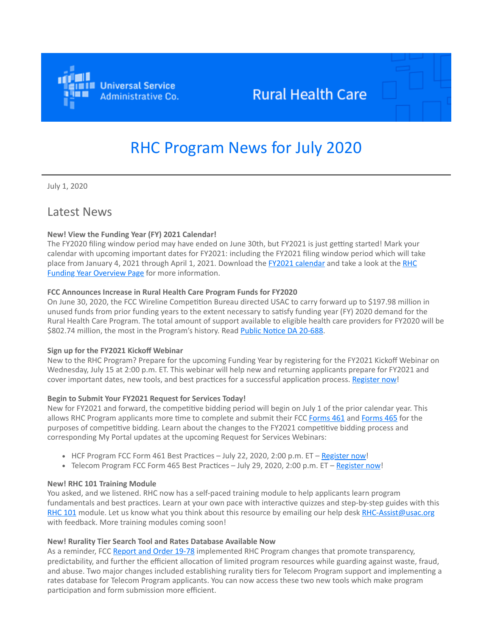

# **Rural Health Care**

# RHC Program News for July 2020

July 1, 2020

# Latest News

# **New! View the Funding Year (FY) 2021 Calendar!**

The FY2020 filing window period may have ended on June 30th, but FY2021 is just getting started! Mark your calendar with upcoming important dates for FY2021: including the FY2021 filing window period which will take [place from January 4, 2021 through April 1, 2021. Download the](https://click.outreach.usac.org/?qs=e9bf1ffff2f7135953797ae0a21be4c371c8c549944c7636a3eda81a01e98b198a5dc3e80d41c1c1fc6b7167ff6ecbc25556b05d42b291ad) [FY2021 calendar](https://click.outreach.usac.org/?qs=e9bf1ffff2f713591f1699f37bd10e458b6ffc9c31f2e4d5895d845186aab744deb37e5407ddba6f1ad7a06f57c463ada4c4caead687ecde) [and take a look at the RHC](https://click.outreach.usac.org/?qs=e9bf1ffff2f7135953797ae0a21be4c371c8c549944c7636a3eda81a01e98b198a5dc3e80d41c1c1fc6b7167ff6ecbc25556b05d42b291ad) **Funding Year Overview Page** for more information.

# **FCC Announces Increase in Rural Health Care Program Funds for FY2020**

On June 30, 2020, the FCC Wireline Competition Bureau directed USAC to carry forward up to \$197.98 million in unused funds from prior funding years to the extent necessary to satisfy funding year (FY) 2020 demand for the Rural Health Care Program. The total amount of support available to eligible health care providers for FY2020 will be \$802.74 million, the most in the Program's history. Read [Public Notice DA 20-688](https://click.outreach.usac.org/?qs=e9bf1ffff2f71359abc8e56a58311b34361d4a3c5e84b68a18d226e1b4e8d0ed482208a917b6e56ff15aab452f533a80add6f65d6301e7a5).

# **Sign up for the FY2021 Kickoff Webinar**

New to the RHC Program? Prepare for the upcoming Funding Year by registering for the FY2021 Kickoff Webinar on Wednesday, July 15 at 2:00 p.m. ET. This webinar will help new and returning applicants prepare for FY2021 and cover important dates, new tools, and best practices for a successful application process. [Register now!](https://click.outreach.usac.org/?qs=e9bf1ffff2f7135947b3ec5e7d59e4c19482546d6e5f18fda8581a7232a254861572798c54f55db5bf2250c2444f9d2946d860a76f09a1e2)

# **Begin to Submit Your FY2021 Request for Services Today!**

New for FY2021 and forward, the competitive bidding period will begin on July 1 of the prior calendar year. This allows RHC Program applicants more time to complete and submit their FCC [Forms 461](https://click.outreach.usac.org/?qs=e9bf1ffff2f71359e422e1a90e1456a5563d4334f8d0460696a55e550265ed9be894de5494316ded42281fbc4117dabbbda9b6277c679580) and [Forms 465](https://click.outreach.usac.org/?qs=e9bf1ffff2f713593c0d3249bac4477f92e0f9a9fdf5c9d9c30d8979f684738750ba4ad6deb0f54e20f26b53b501ebbde50981690d118252) for the purposes of competitive bidding. Learn about the changes to the FY2021 competitive bidding process and corresponding My Portal updates at the upcoming Request for Services Webinars:

- $HCF Program FCC Form 461 Best Practices July 22, 2020, 2:00 p.m. ET Register now!$  $HCF Program FCC Form 461 Best Practices July 22, 2020, 2:00 p.m. ET Register now!$
- Telecom Program FCC Form 465 Best Practices July 29, 2020, 2:00 p.m. ET [Register now!](https://click.outreach.usac.org/?qs=e9bf1ffff2f71359d60d6676bcc86416cf3e8b00b2517f9283a7a90c3050fb030f0642e0279ca6d48b793f644aad4e63c6d2923020c6d6ca)

# **New! RHC 101 Training Module**

You asked, and we listened. RHC now has a self-paced training module to help applicants learn program fundamentals and best practices. Learn at your own pace with interactive quizzes and step-by-step guides with this [RHC 101](https://click.outreach.usac.org/?qs=e9bf1ffff2f71359b33aed9affe41d7654309c3e81799cc47ed98560a454f31fe00b5220de562e12d35a1771117e958e81c5929377f500b1) module. Let us know what you think about this resource by emailing our help desk [RHC-Assist@usac.org](mailto:RHC-Assist@usac.org?subject=) with feedback. More training modules coming soon!

#### **New! Rurality Tier Search Tool and Rates Database Available Now**

As a reminder, FCC [Report and Order 19-78](https://click.outreach.usac.org/?qs=e9bf1ffff2f713599a170608a9671152f6cfa9c40a2715e072223bd09db7883f56016339169d235c4cf9dbc866b0f5117c4f16c112175f16) implemented RHC Program changes that promote transparency, predictability, and further the efficient allocation of limited program resources while guarding against waste, fraud, and abuse. Two major changes included establishing rurality tiers for Telecom Program support and implementing a rates database for Telecom Program applicants. You can now access these two new tools which make program participation and form submission more efficient.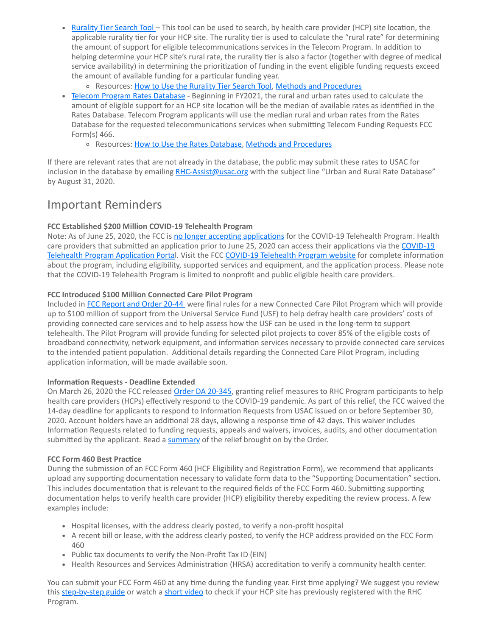- [Rurality Tier Search Tool](https://click.outreach.usac.org/?qs=e9bf1ffff2f71359f4cd7d346cf521bfc9e6661545e997474b890ab7e91aef5f4688ccc924d6b9c98cd8ce8b24145ef38e5c4a41adac4c55) This tool can be used to search, by health care provider (HCP) site location, the applicable rurality tier for your HCP site. The rurality tier is used to calculate the "rural rate" for determining the amount of support for eligible telecommunications services in the Telecom Program. In addition to helping determine your HCP site's rural rate, the rurality tier is also a factor (together with degree of medical service availability) in determining the prioritization of funding in the event eligible funding requests exceed the amount of available funding for a particular funding year.
	- o Resources: [How to Use the Rurality Tier Search Tool](https://click.outreach.usac.org/?qs=e9bf1ffff2f71359247c03ce2985af5a4913bc29cf1f6a182cbcb59526a7fac8ab01d160132f1f973e36d80c195fd187f7ec13c663ae2ae0), [Methods and Procedures](https://click.outreach.usac.org/?qs=e9bf1ffff2f71359dc52428bd98b015f1665f7790fa4ab900f6b75605ecb17a7be580e4e75798d3eb7443db2aac3f8b3c8f5f1b3b94e3cf4)
- [Telecom Program Rates Database](https://click.outreach.usac.org/?qs=e9bf1ffff2f7135901dd5c94331bcbeb2b7601e0da69c614d10254bdad8be02767e18b64614f4a7a08690e26364a6d87268cc037a7750720)  Beginning in FY2021, the rural and urban rates used to calculate the amount of eligible support for an HCP site location will be the median of available rates as identified in the Rates Database. Telecom Program applicants will use the median rural and urban rates from the Rates Database for the requested telecommunications services when submitting Telecom Funding Requests FCC Form(s) 466.
	- o Resources: [How to Use the Rates Database,](https://click.outreach.usac.org/?qs=e9bf1ffff2f713590fd87467139dd9f2f8b33372b55024b5bbd14f46cf96bec3791d0f7f9bb8bcd4cd02f8636d46bf0de90ac936abfd0526) [Methods and Procedures](https://click.outreach.usac.org/?qs=e9bf1ffff2f71359e4679339dc2c20d9e0e8490bce09830edacbb3d443383b4b9eb9ce4ad845614b77f1fa730a35f52449399c6ef32eccca)

If there are relevant rates that are not already in the database, the public may submit these rates to USAC for inclusion in the database by emailing [RHC-Assist@usac.org](mailto:RHC-Assist@usac.org?subject=) with the subject line "Urban and Rural Rate Database" by August 31, 2020.

# Important Reminders

#### **FCC Established \$200 Million COVID-19 Telehealth Program**

Note: As of June 25, 2020, the FCC is [no longer accepting applications](https://click.outreach.usac.org/?qs=e9bf1ffff2f7135921bb53dd4ed39c4239dcceacc6ffed2799a5fd9b0b26cf4523e6c208e7517d15fbbe3e42f4e50373d1e1eaa8a5fbf2a2) for the COVID-19 Telehealth Program. Health [care providers that submitted an application prior to June 25, 2020 can access their applications via the](https://click.outreach.usac.org/?qs=e9bf1ffff2f713593eb5da02d8ba4916e66e430fd4646f49941f01e6f31f92fa0164eb04dc4a0b1dfed217c09969c4ef6d4a860f54fc2178) COVID-19 Telehealth Program Application Portal. Visit the FCC [COVID-19 Telehealth Program website](https://click.outreach.usac.org/?qs=e9bf1ffff2f71359a936983a527070e64a379899372eddc5a534f448453e02a007a69ab57513f730e742e835b1c71370f9876455fc4cf57b) for complete information about the program, including eligibility, supported services and equipment, and the application process. Please note that the COVID-19 Telehealth Program is limited to nonprofit and public eligible health care providers.

#### **FCC Introduced \$100 Million Connected Care Pilot Program**

Included in [FCC Report and Order 20-44](https://click.outreach.usac.org/?qs=e9bf1ffff2f7135917cf8e97df2aab0bfcdacb22f2bd47309f102e7a7adb8f5dd32e1e408067ec7a4b2fc51b5def9798d1bd962b3ef4a7b8) were final rules for a new Connected Care Pilot Program which will provide up to \$100 million of support from the Universal Service Fund (USF) to help defray health care providers' costs of providing connected care services and to help assess how the USF can be used in the long-term to support telehealth. The Pilot Program will provide funding for selected pilot projects to cover 85% of the eligible costs of broadband connectivity, network equipment, and information services necessary to provide connected care services to the intended patient population. Additional details regarding the Connected Care Pilot Program, including application information, will be made available soon.

#### **Information Requests - Deadline Extended**

On March 26, 2020 the FCC released [Order DA 20-345](https://click.outreach.usac.org/?qs=e9bf1ffff2f7135993ac9066f04011b8a633f65e7c72b688a8241c0ca1a28f77036fe6a151eed6f9306e638a60b32e4d39c3f842ce2088c1), granting relief measures to RHC Program participants to help health care providers (HCPs) effectively respond to the COVID-19 pandemic. As part of this relief, the FCC waived the 14-day deadline for applicants to respond to Information Requests from USAC issued on or before September 30, 2020. Account holders have an additional 28 days, allowing a response time of 42 days. This waiver includes Information Requests related to funding requests, appeals and waivers, invoices, audits, and other documentation submitted by the applicant. Read a [summary](https://click.outreach.usac.org/?qs=e9bf1ffff2f713599cc1d76a61a35a26bd381fdea375312f0f82e5d42ddc230842a9d368db7500f748614a42dd06909ab9a3fd125d055515) of the relief brought on by the Order.

#### **FCC Form 460 Best Practice**

During the submission of an FCC Form 460 (HCF Eligibility and Registration Form), we recommend that applicants upload any supporting documentation necessary to validate form data to the "Supporting Documentation" section. This includes documentation that is relevant to the required fields of the FCC Form 460. Submitting supporting documentation helps to verify health care provider (HCP) eligibility thereby expediting the review process. A few examples include:

- Hospital licenses, with the address clearly posted, to verify a non-profit hospital
- A recent bill or lease, with the address clearly posted, to verify the HCP address provided on the FCC Form 460
- Public tax documents to verify the Non-Profit Tax ID (EIN)
- Health Resources and Services Administration (HRSA) accreditation to verify a community health center.

You can submit your FCC Form 460 at any time during the funding year. First time applying? We suggest you review this [step-by-step guide](https://click.outreach.usac.org/?qs=e9bf1ffff2f713598d3ca1998fa83168c2736f89327beceb90b932ad0d9f462b3318a662937cbf5b6534ac577b1a4f63d73d13344b1ffbce) or watch a [short video](https://click.outreach.usac.org/?qs=e9bf1ffff2f7135944bc95c56b407606c3f8f3e2eed0f0e6517b3402f354f930cd673272f9e55ee2fffad54c9432a6e7a36603a7d039fbd8) to check if your HCP site has previously registered with the RHC Program.